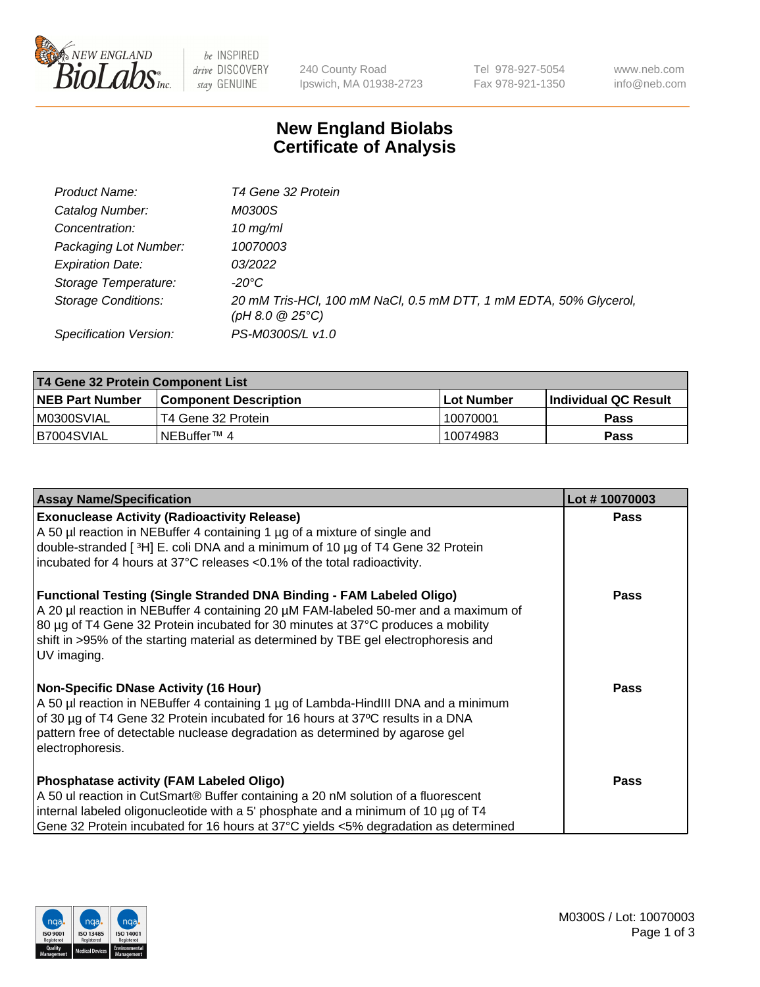

 $be$  INSPIRED drive DISCOVERY stay GENUINE

240 County Road Ipswich, MA 01938-2723 Tel 978-927-5054 Fax 978-921-1350 www.neb.com info@neb.com

## **New England Biolabs Certificate of Analysis**

| Product Name:              | T4 Gene 32 Protein                                                                              |
|----------------------------|-------------------------------------------------------------------------------------------------|
| Catalog Number:            | <i>M0300S</i>                                                                                   |
| Concentration:             | $10 \, \text{mg/ml}$                                                                            |
| Packaging Lot Number:      | 10070003                                                                                        |
| <b>Expiration Date:</b>    | 03/2022                                                                                         |
| Storage Temperature:       | -20°C                                                                                           |
| <b>Storage Conditions:</b> | 20 mM Tris-HCl, 100 mM NaCl, 0.5 mM DTT, 1 mM EDTA, 50% Glycerol,<br>$(pH 8.0 \ @ 25^{\circ}C)$ |
| Specification Version:     | PS-M0300S/L v1.0                                                                                |

| T4 Gene 32 Protein Component List |                        |            |                      |  |  |
|-----------------------------------|------------------------|------------|----------------------|--|--|
| <b>NEB Part Number</b>            | Component Description_ | Lot Number | Individual QC Result |  |  |
| M0300SVIAL                        | T4 Gene 32 Protein     | 10070001   | Pass                 |  |  |
| B7004SVIAL                        | INEBuffer™ 4           | 10074983   | Pass                 |  |  |

| <b>Assay Name/Specification</b>                                                                                                                                                                                                                                                                                                                       | Lot #10070003 |
|-------------------------------------------------------------------------------------------------------------------------------------------------------------------------------------------------------------------------------------------------------------------------------------------------------------------------------------------------------|---------------|
| <b>Exonuclease Activity (Radioactivity Release)</b><br>A 50 µl reaction in NEBuffer 4 containing 1 µg of a mixture of single and<br>double-stranded [3H] E. coli DNA and a minimum of 10 µg of T4 Gene 32 Protein<br>incubated for 4 hours at 37°C releases <0.1% of the total radioactivity.                                                         | <b>Pass</b>   |
| Functional Testing (Single Stranded DNA Binding - FAM Labeled Oligo)<br>A 20 µl reaction in NEBuffer 4 containing 20 µM FAM-labeled 50-mer and a maximum of<br>80 µg of T4 Gene 32 Protein incubated for 30 minutes at 37°C produces a mobility<br>shift in >95% of the starting material as determined by TBE gel electrophoresis and<br>UV imaging. | <b>Pass</b>   |
| <b>Non-Specific DNase Activity (16 Hour)</b><br>A 50 µl reaction in NEBuffer 4 containing 1 µg of Lambda-HindIII DNA and a minimum<br>of 30 µg of T4 Gene 32 Protein incubated for 16 hours at 37°C results in a DNA<br>pattern free of detectable nuclease degradation as determined by agarose gel<br>electrophoresis.                              | <b>Pass</b>   |
| <b>Phosphatase activity (FAM Labeled Oligo)</b><br>A 50 ul reaction in CutSmart® Buffer containing a 20 nM solution of a fluorescent<br>internal labeled oligonucleotide with a 5' phosphate and a minimum of 10 µg of T4<br>Gene 32 Protein incubated for 16 hours at 37°C yields <5% degradation as determined                                      | <b>Pass</b>   |

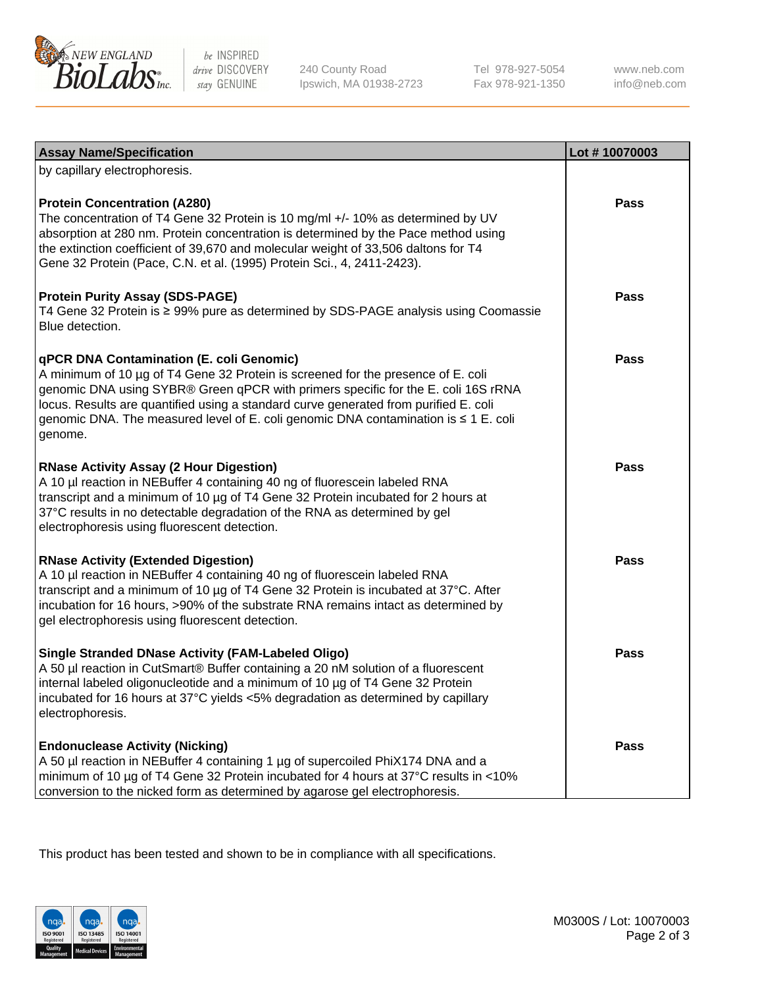

be INSPIRED drive DISCOVERY stay GENUINE

240 County Road Ipswich, MA 01938-2723 Tel 978-927-5054 Fax 978-921-1350 www.neb.com info@neb.com

| <b>Assay Name/Specification</b>                                                                                                                                                                                                                                                                                                                                                                             | Lot #10070003 |
|-------------------------------------------------------------------------------------------------------------------------------------------------------------------------------------------------------------------------------------------------------------------------------------------------------------------------------------------------------------------------------------------------------------|---------------|
| by capillary electrophoresis.                                                                                                                                                                                                                                                                                                                                                                               |               |
| <b>Protein Concentration (A280)</b><br>The concentration of T4 Gene 32 Protein is 10 mg/ml +/- 10% as determined by UV<br>absorption at 280 nm. Protein concentration is determined by the Pace method using<br>the extinction coefficient of 39,670 and molecular weight of 33,506 daltons for T4<br>Gene 32 Protein (Pace, C.N. et al. (1995) Protein Sci., 4, 2411-2423).                                | <b>Pass</b>   |
| <b>Protein Purity Assay (SDS-PAGE)</b><br>T4 Gene 32 Protein is ≥ 99% pure as determined by SDS-PAGE analysis using Coomassie<br>Blue detection.                                                                                                                                                                                                                                                            | <b>Pass</b>   |
| qPCR DNA Contamination (E. coli Genomic)<br>A minimum of 10 µg of T4 Gene 32 Protein is screened for the presence of E. coli<br>genomic DNA using SYBR® Green qPCR with primers specific for the E. coli 16S rRNA<br>locus. Results are quantified using a standard curve generated from purified E. coli<br>genomic DNA. The measured level of E. coli genomic DNA contamination is ≤ 1 E. coli<br>genome. | Pass          |
| <b>RNase Activity Assay (2 Hour Digestion)</b><br>A 10 µl reaction in NEBuffer 4 containing 40 ng of fluorescein labeled RNA<br>transcript and a minimum of 10 µg of T4 Gene 32 Protein incubated for 2 hours at<br>37°C results in no detectable degradation of the RNA as determined by gel<br>electrophoresis using fluorescent detection.                                                               | <b>Pass</b>   |
| <b>RNase Activity (Extended Digestion)</b><br>A 10 µl reaction in NEBuffer 4 containing 40 ng of fluorescein labeled RNA<br>transcript and a minimum of 10 µg of T4 Gene 32 Protein is incubated at 37°C. After<br>incubation for 16 hours, >90% of the substrate RNA remains intact as determined by<br>gel electrophoresis using fluorescent detection.                                                   | <b>Pass</b>   |
| <b>Single Stranded DNase Activity (FAM-Labeled Oligo)</b><br>A 50 µl reaction in CutSmart® Buffer containing a 20 nM solution of a fluorescent<br>internal labeled oligonucleotide and a minimum of 10 µg of T4 Gene 32 Protein<br>incubated for 16 hours at 37°C yields <5% degradation as determined by capillary<br>electrophoresis.                                                                     | Pass          |
| <b>Endonuclease Activity (Nicking)</b><br>A 50 µl reaction in NEBuffer 4 containing 1 µg of supercoiled PhiX174 DNA and a<br>minimum of 10 µg of T4 Gene 32 Protein incubated for 4 hours at 37°C results in <10%<br>conversion to the nicked form as determined by agarose gel electrophoresis.                                                                                                            | Pass          |

This product has been tested and shown to be in compliance with all specifications.